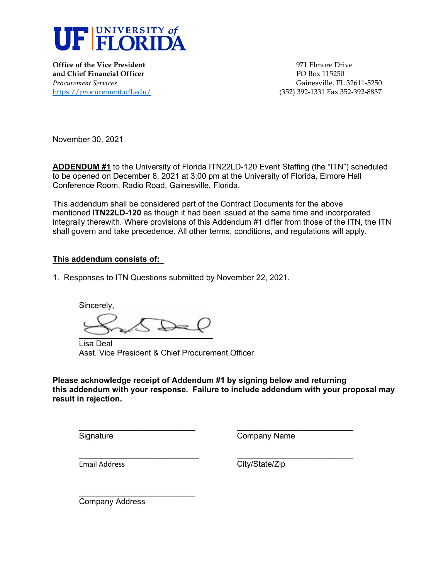

**Office of the Vice President 1971 Club State President** 971 Elmore Drive **and Chief Financial Officer PO Box 115250** 

*Procurement Services* Gainesville, FL 32611-5250 <https://procurement.ufl.edu/>(352) 392-1331 Fax 352-392-8837

November 30, 2021

**ADDENDUM #1** to the University of Florida ITN22LD-120 Event Staffing (the "ITN") scheduled to be opened on December 8, 2021 at 3:00 pm at the University of Florida, Elmore Hall Conference Room, Radio Road, Gainesville, Florida.

This addendum shall be considered part of the Contract Documents for the above mentioned **ITN22LD-120** as though it had been issued at the same time and incorporated integrally therewith. Where provisions of this Addendum #1 differ from those of the ITN, the ITN shall govern and take precedence. All other terms, conditions, and regulations will apply.

#### **This addendum consists of:**

1. Responses to ITN Questions submitted by November 22, 2021.

Sincerely,

 $\overline{\phantom{a}}$  , where  $\overline{\phantom{a}}$  , where  $\overline{\phantom{a}}$  , where  $\overline{\phantom{a}}$  , where  $\overline{\phantom{a}}$ 

\_\_\_\_\_\_\_\_\_\_\_\_\_\_\_\_\_\_\_\_\_\_\_\_\_\_\_\_\_\_

Lisa Deal Asst. Vice President & Chief Procurement Officer

**Please acknowledge receipt of Addendum #1 by signing below and returning this addendum with your response. Failure to include addendum with your proposal may result in rejection.**

**Signature** 

Company Name

 $\overline{\phantom{a}}$  , where  $\overline{\phantom{a}}$  , where  $\overline{\phantom{a}}$  , where  $\overline{\phantom{a}}$ 

Email Address

 $\overline{\phantom{a}}$  , where  $\overline{\phantom{a}}$  , where  $\overline{\phantom{a}}$  , where  $\overline{\phantom{a}}$ City/State/Zip

 $\overline{\phantom{a}}$  , where  $\overline{\phantom{a}}$  , where  $\overline{\phantom{a}}$  , where  $\overline{\phantom{a}}$ Company Address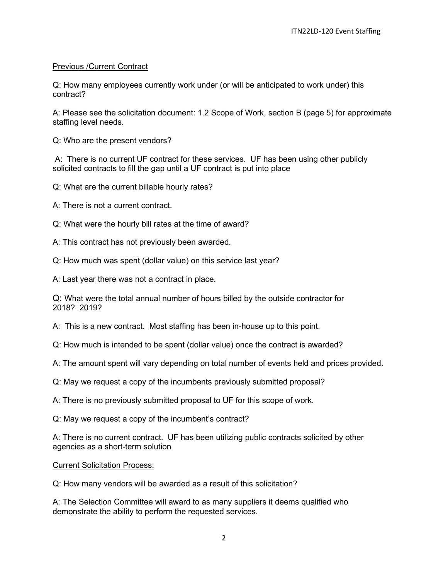# Previous /Current Contract

Q: How many employees currently work under (or will be anticipated to work under) this contract?

A: Please see the solicitation document: 1.2 Scope of Work, section B (page 5) for approximate staffing level needs.

Q: Who are the present vendors?

A: There is no current UF contract for these services. UF has been using other publicly solicited contracts to fill the gap until a UF contract is put into place

Q: What are the current billable hourly rates?

A: There is not a current contract.

- Q: What were the hourly bill rates at the time of award?
- A: This contract has not previously been awarded.
- Q: How much was spent (dollar value) on this service last year?

A: Last year there was not a contract in place.

Q: What were the total annual number of hours billed by the outside contractor for 2018? 2019?

A: This is a new contract. Most staffing has been in-house up to this point.

Q: How much is intended to be spent (dollar value) once the contract is awarded?

A: The amount spent will vary depending on total number of events held and prices provided.

Q: May we request a copy of the incumbents previously submitted proposal?

A: There is no previously submitted proposal to UF for this scope of work.

Q: May we request a copy of the incumbent's contract?

A: There is no current contract. UF has been utilizing public contracts solicited by other agencies as a short-term solution

Current Solicitation Process:

Q: How many vendors will be awarded as a result of this solicitation?

A: The Selection Committee will award to as many suppliers it deems qualified who demonstrate the ability to perform the requested services.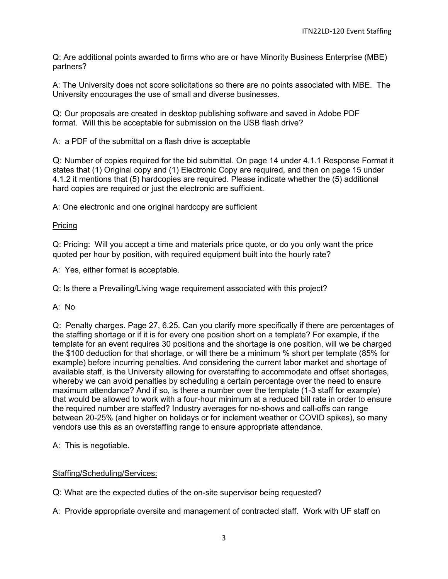Q: Are additional points awarded to firms who are or have Minority Business Enterprise (MBE) partners?

A: The University does not score solicitations so there are no points associated with MBE. The University encourages the use of small and diverse businesses.

Q: Our proposals are created in desktop publishing software and saved in Adobe PDF format. Will this be acceptable for submission on the USB flash drive?

A: a PDF of the submittal on a flash drive is acceptable

Q: Number of copies required for the bid submittal. On page 14 under 4.1.1 Response Format it states that (1) Original copy and (1) Electronic Copy are required, and then on page 15 under 4.1.2 it mentions that (5) hardcopies are required. Please indicate whether the (5) additional hard copies are required or just the electronic are sufficient.

A: One electronic and one original hardcopy are sufficient

### Pricing

Q: Pricing: Will you accept a time and materials price quote, or do you only want the price quoted per hour by position, with required equipment built into the hourly rate?

A: Yes, either format is acceptable.

Q: Is there a Prevailing/Living wage requirement associated with this project?

#### A: No

Q: Penalty charges. Page 27, 6.25. Can you clarify more specifically if there are percentages of the staffing shortage or if it is for every one position short on a template? For example, if the template for an event requires 30 positions and the shortage is one position, will we be charged the \$100 deduction for that shortage, or will there be a minimum % short per template (85% for example) before incurring penalties. And considering the current labor market and shortage of available staff, is the University allowing for overstaffing to accommodate and offset shortages, whereby we can avoid penalties by scheduling a certain percentage over the need to ensure maximum attendance? And if so, is there a number over the template (1-3 staff for example) that would be allowed to work with a four-hour minimum at a reduced bill rate in order to ensure the required number are staffed? Industry averages for no-shows and call-offs can range between 20-25% (and higher on holidays or for inclement weather or COVID spikes), so many vendors use this as an overstaffing range to ensure appropriate attendance.

A: This is negotiable.

# Staffing/Scheduling/Services:

Q: What are the expected duties of the on-site supervisor being requested?

A: Provide appropriate oversite and management of contracted staff. Work with UF staff on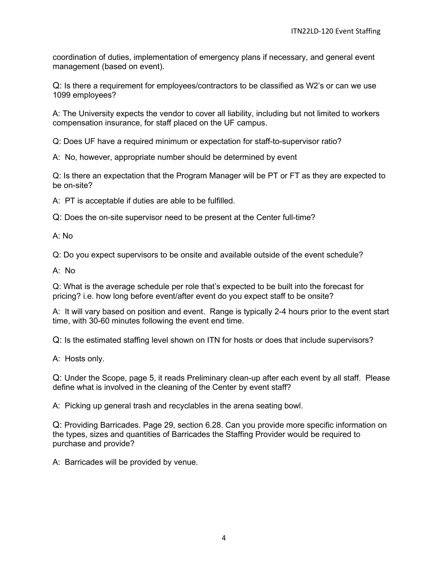coordination of duties, implementation of emergency plans if necessary, and general event management (based on event).

Q: Is there a requirement for employees/contractors to be classified as W2's or can we use 1099 employees?

A: The University expects the vendor to cover all liability, including but not limited to workers compensation insurance, for staff placed on the UF campus.

Q: Does UF have a required minimum or expectation for staff-to-supervisor ratio?

A: No, however, appropriate number should be determined by event

Q: Is there an expectation that the Program Manager will be PT or FT as they are expected to be on-site?

A: PT is acceptable if duties are able to be fulfilled.

Q: Does the on-site supervisor need to be present at the Center full-time?

A: No

Q: Do you expect supervisors to be onsite and available outside of the event schedule?

A: No

Q: What is the average schedule per role that's expected to be built into the forecast for pricing? i.e. how long before event/after event do you expect staff to be onsite?

A: It will vary based on position and event. Range is typically 2-4 hours prior to the event start time, with 30-60 minutes following the event end time.

Q: Is the estimated staffing level shown on ITN for hosts or does that include supervisors?

A: Hosts only.

Q: Under the Scope, page 5, it reads Preliminary clean-up after each event by all staff. Please define what is involved in the cleaning of the Center by event staff?

A: Picking up general trash and recyclables in the arena seating bowl.

Q: Providing Barricades. Page 29, section 6.28. Can you provide more specific information on the types, sizes and quantities of Barricades the Staffing Provider would be required to purchase and provide?

A: Barricades will be provided by venue.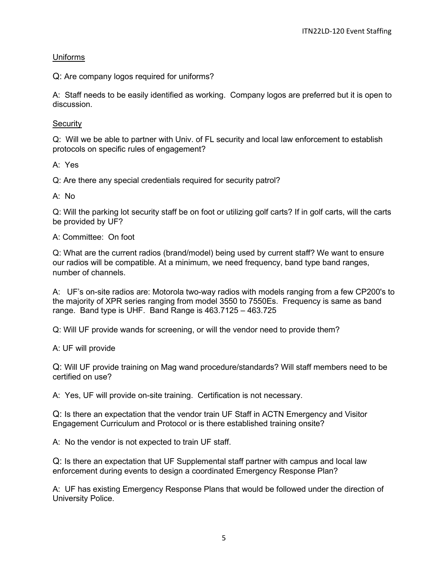### Uniforms

Q: Are company logos required for uniforms?

A: Staff needs to be easily identified as working. Company logos are preferred but it is open to discussion.

### **Security**

Q: Will we be able to partner with Univ. of FL security and local law enforcement to establish protocols on specific rules of engagement?

A: Yes

Q: Are there any special credentials required for security patrol?

A: No

Q: Will the parking lot security staff be on foot or utilizing golf carts? If in golf carts, will the carts be provided by UF?

A: Committee: On foot

Q: What are the current radios (brand/model) being used by current staff? We want to ensure our radios will be compatible. At a minimum, we need frequency, band type band ranges, number of channels.

A: UF's on-site radios are: Motorola two-way radios with models ranging from a few CP200's to the majority of XPR series ranging from model 3550 to 7550Es. Frequency is same as band range. Band type is UHF. Band Range is 463.7125 – 463.725

Q: Will UF provide wands for screening, or will the vendor need to provide them?

A: UF will provide

Q: Will UF provide training on Mag wand procedure/standards? Will staff members need to be certified on use?

A: Yes, UF will provide on-site training. Certification is not necessary.

Q: Is there an expectation that the vendor train UF Staff in ACTN Emergency and Visitor Engagement Curriculum and Protocol or is there established training onsite?

A: No the vendor is not expected to train UF staff.

Q: Is there an expectation that UF Supplemental staff partner with campus and local law enforcement during events to design a coordinated Emergency Response Plan?

A: UF has existing Emergency Response Plans that would be followed under the direction of University Police.